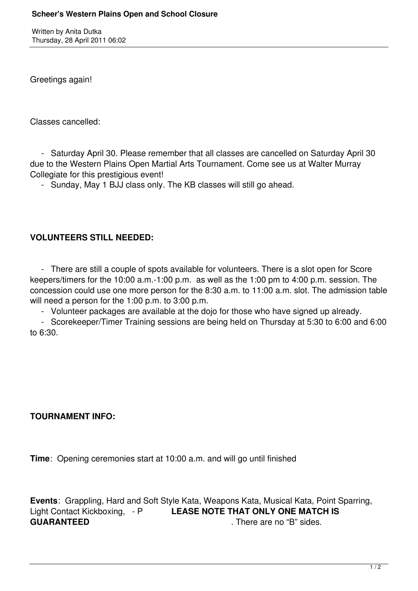Written by Anita Dutka Thursday, 28 April 2011 06:02

Greetings again!

Classes cancelled:

 - Saturday April 30. Please remember that all classes are cancelled on Saturday April 30 due to the Western Plains Open Martial Arts Tournament. Come see us at Walter Murray Collegiate for this prestigious event!

- Sunday, May 1 BJJ class only. The KB classes will still go ahead.

## **VOLUNTEERS STILL NEEDED:**

 - There are still a couple of spots available for volunteers. There is a slot open for Score keepers/timers for the 10:00 a.m.-1:00 p.m. as well as the 1:00 pm to 4:00 p.m. session. The concession could use one more person for the 8:30 a.m. to 11:00 a.m. slot. The admission table will need a person for the 1:00 p.m. to 3:00 p.m.

- Volunteer packages are available at the dojo for those who have signed up already.

 - Scorekeeper/Timer Training sessions are being held on Thursday at 5:30 to 6:00 and 6:00 to 6:30.

## **TOURNAMENT INFO:**

**Time**: Opening ceremonies start at 10:00 a.m. and will go until finished

**Events**: Grappling, Hard and Soft Style Kata, Weapons Kata, Musical Kata, Point Sparring, Light Contact Kickboxing, - P **LEASE NOTE THAT ONLY ONE MATCH IS GUARANTEED** There are no "B" sides.